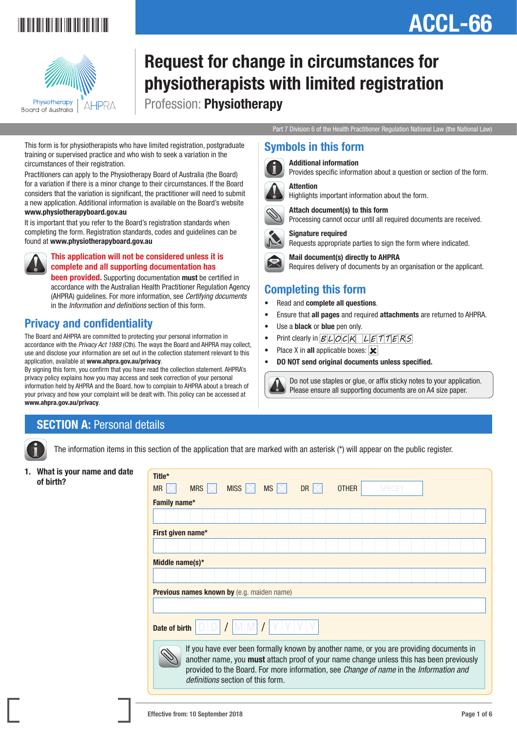

# ACCL-66



### Request for change in circumstances for physiotherapists with limited registration Profession: Physiotherapy

Symbols in this form

Attention

Additional information

Signature required

Completing this form • Read and complete all questions.

• Use a black or blue pen only.

Place X in all applicable boxes:  $\mathbf{\times}$ 

#### Part 7 Division 6 of the Health Practitioner Regulation National Law (the National Law)

Provides specific information about a question or section of the form.

Processing cannot occur until all required documents are received.

Requires delivery of documents by an organisation or the applicant.

 Do not use staples or glue, or affix sticky notes to your application. Please ensure all supporting documents are on A4 size paper.

Requests appropriate parties to sign the form where indicated.

• Ensure that all pages and required attachments are returned to AHPRA.

Highlights important information about the form.

Attach document(s) to this form

Mail document(s) directly to AHPRA

Print clearly in  $BLDCK$   $LETTERS$ 

• DO NOT send original documents unless specified.

This form is for physiotherapists who have limited registration, postgraduate training or supervised practice and who wish to seek a variation in the circumstances of their registration.

Practitioners can apply to the Physiotherapy Board of Australia (the Board) for a variation if there is a minor change to their circumstances. If the Board considers that the variation is significant, the practitioner will need to submit a new application. Additional information is available on the Board's website www.physiotherapyboard.gov.au

It is important that you refer to the Board's registration standards when completing the form. Registration standards, codes and guidelines can be found at www.physiotherapyboard.gov.au



#### This application will not be considered unless it is complete and all supporting documentation has

**been provided.** Supporting documentation must be certified in accordance with the Australian Health Practitioner Regulation Agency (AHPRA) guidelines. For more information, see *Certifying documents* in the *Information and definitions* section of this form.

### Privacy and confidentiality

The Board and AHPRA are committed to protecting your personal information in accordance with the *Privacy Act 1988* (Cth). The ways the Board and AHPRA may collect, use and disclose your information are set out in the collection statement relevant to this application, available at www.ahpra.gov.au/privacy.

By signing this form, you confirm that you have read the collection statement. AHPRA's privacy policy explains how you may access and seek correction of your personal information held by AHPRA and the Board, how to complain to AHPRA about a breach of your privacy and how your complaint will be dealt with. This policy can be accessed at www.ahpra.gov.au/privacy.

### **SECTION A: Personal details**

The information items in this section of the application that are marked with an asterisk (\*) will appear on the public register.

1. What is your name and date of birth?

| Title*<br><b>MR</b> | <b>MRS</b>                                        | <b>MISS</b>                                                                                                                                                                                                                                                                                                              | $MS \times$ | <b>DR</b> | <b>OTHER</b> | <b>SPECIFY</b> |  |  |
|---------------------|---------------------------------------------------|--------------------------------------------------------------------------------------------------------------------------------------------------------------------------------------------------------------------------------------------------------------------------------------------------------------------------|-------------|-----------|--------------|----------------|--|--|
| Family name*        |                                                   |                                                                                                                                                                                                                                                                                                                          |             |           |              |                |  |  |
|                     |                                                   |                                                                                                                                                                                                                                                                                                                          |             |           |              |                |  |  |
| First given name*   |                                                   |                                                                                                                                                                                                                                                                                                                          |             |           |              |                |  |  |
|                     |                                                   |                                                                                                                                                                                                                                                                                                                          |             |           |              |                |  |  |
| Middle name(s)*     |                                                   |                                                                                                                                                                                                                                                                                                                          |             |           |              |                |  |  |
|                     |                                                   |                                                                                                                                                                                                                                                                                                                          |             |           |              |                |  |  |
|                     | <b>Previous names known by</b> (e.g. maiden name) |                                                                                                                                                                                                                                                                                                                          |             |           |              |                |  |  |
|                     |                                                   |                                                                                                                                                                                                                                                                                                                          |             |           |              |                |  |  |
| Date of birth       |                                                   |                                                                                                                                                                                                                                                                                                                          |             |           |              |                |  |  |
|                     |                                                   | If you have ever been formally known by another name, or you are providing documents in<br>another name, you must attach proof of your name change unless this has been previously<br>provided to the Board. For more information, see Change of name in the Information and<br><i>definitions</i> section of this form. |             |           |              |                |  |  |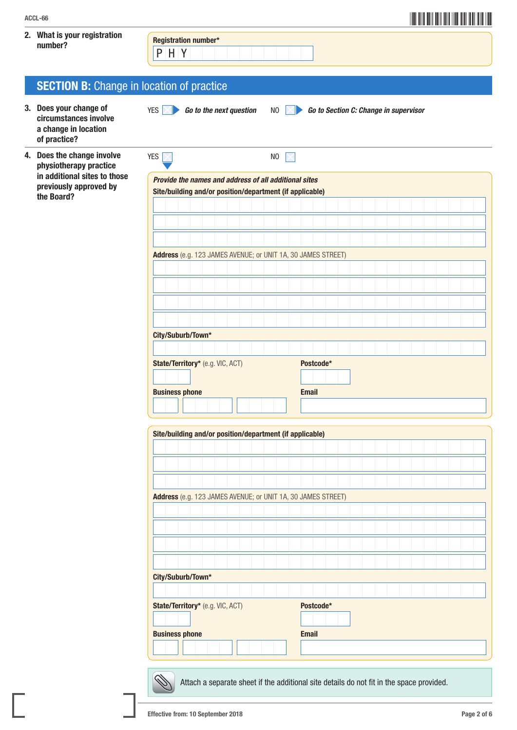#### 2. What is your registration what is your registration<br>number?

P H Y

### **SECTION B:** Change in location of practice

- 3. Does your change of circumstances involve a change in location of practice?
- 4. Does the change involve physiotherapy practice in additional sites to those previously approved by the Board?

| <b>YES</b>                                                                                                                                        |  | N <sub>0</sub> |              |           |  |  |  |  |  |
|---------------------------------------------------------------------------------------------------------------------------------------------------|--|----------------|--------------|-----------|--|--|--|--|--|
| Provide the names and address of all additional sites                                                                                             |  |                |              |           |  |  |  |  |  |
| Site/building and/or position/department (if applicable)                                                                                          |  |                |              |           |  |  |  |  |  |
|                                                                                                                                                   |  |                |              |           |  |  |  |  |  |
|                                                                                                                                                   |  |                |              |           |  |  |  |  |  |
|                                                                                                                                                   |  |                |              |           |  |  |  |  |  |
| Address (e.g. 123 JAMES AVENUE; or UNIT 1A, 30 JAMES STREET)                                                                                      |  |                |              |           |  |  |  |  |  |
|                                                                                                                                                   |  |                |              |           |  |  |  |  |  |
|                                                                                                                                                   |  |                |              |           |  |  |  |  |  |
|                                                                                                                                                   |  |                |              |           |  |  |  |  |  |
|                                                                                                                                                   |  |                |              |           |  |  |  |  |  |
| City/Suburb/Town*                                                                                                                                 |  |                |              |           |  |  |  |  |  |
|                                                                                                                                                   |  |                |              |           |  |  |  |  |  |
| State/Territory* (e.g. VIC, ACT)                                                                                                                  |  |                |              |           |  |  |  |  |  |
|                                                                                                                                                   |  |                |              | Postcode* |  |  |  |  |  |
|                                                                                                                                                   |  |                |              |           |  |  |  |  |  |
|                                                                                                                                                   |  |                | <b>Email</b> |           |  |  |  |  |  |
|                                                                                                                                                   |  |                |              |           |  |  |  |  |  |
|                                                                                                                                                   |  |                |              |           |  |  |  |  |  |
|                                                                                                                                                   |  |                |              |           |  |  |  |  |  |
|                                                                                                                                                   |  |                |              |           |  |  |  |  |  |
|                                                                                                                                                   |  |                |              |           |  |  |  |  |  |
|                                                                                                                                                   |  |                |              |           |  |  |  |  |  |
|                                                                                                                                                   |  |                |              |           |  |  |  |  |  |
|                                                                                                                                                   |  |                |              |           |  |  |  |  |  |
|                                                                                                                                                   |  |                |              |           |  |  |  |  |  |
| <b>Business phone</b><br>Site/building and/or position/department (if applicable)<br>Address (e.g. 123 JAMES AVENUE; or UNIT 1A, 30 JAMES STREET) |  |                |              |           |  |  |  |  |  |
|                                                                                                                                                   |  |                |              |           |  |  |  |  |  |
|                                                                                                                                                   |  |                |              |           |  |  |  |  |  |
|                                                                                                                                                   |  |                |              |           |  |  |  |  |  |
|                                                                                                                                                   |  |                |              | Postcode* |  |  |  |  |  |
| City/Suburb/Town*<br>State/Territory* (e.g. VIC, ACT)<br><b>Business phone</b>                                                                    |  |                | <b>Email</b> |           |  |  |  |  |  |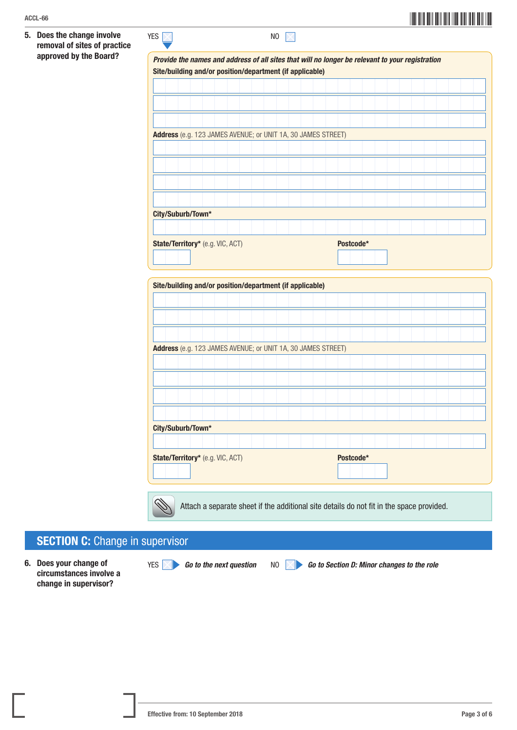| ACCL-66                                                    | <u> III din menjadi kecamatan di Indonesia Ba</u>                                               |  |  |  |  |  |  |  |  |  |  |
|------------------------------------------------------------|-------------------------------------------------------------------------------------------------|--|--|--|--|--|--|--|--|--|--|
| 5. Does the change involve<br>removal of sites of practice | <b>YES</b><br>NO<br>$\times$                                                                    |  |  |  |  |  |  |  |  |  |  |
| approved by the Board?                                     | Provide the names and address of all sites that will no longer be relevant to your registration |  |  |  |  |  |  |  |  |  |  |
|                                                            | Site/building and/or position/department (if applicable)                                        |  |  |  |  |  |  |  |  |  |  |
|                                                            |                                                                                                 |  |  |  |  |  |  |  |  |  |  |
|                                                            |                                                                                                 |  |  |  |  |  |  |  |  |  |  |
|                                                            |                                                                                                 |  |  |  |  |  |  |  |  |  |  |
|                                                            |                                                                                                 |  |  |  |  |  |  |  |  |  |  |
|                                                            | Address (e.g. 123 JAMES AVENUE; or UNIT 1A, 30 JAMES STREET)                                    |  |  |  |  |  |  |  |  |  |  |
|                                                            |                                                                                                 |  |  |  |  |  |  |  |  |  |  |
|                                                            |                                                                                                 |  |  |  |  |  |  |  |  |  |  |
|                                                            |                                                                                                 |  |  |  |  |  |  |  |  |  |  |
|                                                            |                                                                                                 |  |  |  |  |  |  |  |  |  |  |
|                                                            |                                                                                                 |  |  |  |  |  |  |  |  |  |  |
|                                                            | City/Suburb/Town*                                                                               |  |  |  |  |  |  |  |  |  |  |
|                                                            |                                                                                                 |  |  |  |  |  |  |  |  |  |  |
|                                                            |                                                                                                 |  |  |  |  |  |  |  |  |  |  |
|                                                            | State/Territory* (e.g. VIC, ACT)<br>Postcode*                                                   |  |  |  |  |  |  |  |  |  |  |
|                                                            |                                                                                                 |  |  |  |  |  |  |  |  |  |  |
|                                                            |                                                                                                 |  |  |  |  |  |  |  |  |  |  |
|                                                            | Site/building and/or position/department (if applicable)                                        |  |  |  |  |  |  |  |  |  |  |
|                                                            |                                                                                                 |  |  |  |  |  |  |  |  |  |  |

| Site/building and/or position/department (if applicable) |  |  |  |                                  |  |                                                              |  |  |  |  |  |  |           |  |  |  |  |                                                                                          |  |  |  |  |
|----------------------------------------------------------|--|--|--|----------------------------------|--|--------------------------------------------------------------|--|--|--|--|--|--|-----------|--|--|--|--|------------------------------------------------------------------------------------------|--|--|--|--|
|                                                          |  |  |  |                                  |  |                                                              |  |  |  |  |  |  |           |  |  |  |  |                                                                                          |  |  |  |  |
|                                                          |  |  |  |                                  |  |                                                              |  |  |  |  |  |  |           |  |  |  |  |                                                                                          |  |  |  |  |
|                                                          |  |  |  |                                  |  |                                                              |  |  |  |  |  |  |           |  |  |  |  |                                                                                          |  |  |  |  |
|                                                          |  |  |  |                                  |  |                                                              |  |  |  |  |  |  |           |  |  |  |  |                                                                                          |  |  |  |  |
|                                                          |  |  |  |                                  |  | Address (e.g. 123 JAMES AVENUE; or UNIT 1A, 30 JAMES STREET) |  |  |  |  |  |  |           |  |  |  |  |                                                                                          |  |  |  |  |
|                                                          |  |  |  |                                  |  |                                                              |  |  |  |  |  |  |           |  |  |  |  |                                                                                          |  |  |  |  |
|                                                          |  |  |  |                                  |  |                                                              |  |  |  |  |  |  |           |  |  |  |  |                                                                                          |  |  |  |  |
|                                                          |  |  |  |                                  |  |                                                              |  |  |  |  |  |  |           |  |  |  |  |                                                                                          |  |  |  |  |
|                                                          |  |  |  |                                  |  |                                                              |  |  |  |  |  |  |           |  |  |  |  |                                                                                          |  |  |  |  |
|                                                          |  |  |  |                                  |  |                                                              |  |  |  |  |  |  |           |  |  |  |  |                                                                                          |  |  |  |  |
|                                                          |  |  |  |                                  |  |                                                              |  |  |  |  |  |  |           |  |  |  |  |                                                                                          |  |  |  |  |
| City/Suburb/Town*                                        |  |  |  |                                  |  |                                                              |  |  |  |  |  |  |           |  |  |  |  |                                                                                          |  |  |  |  |
|                                                          |  |  |  |                                  |  |                                                              |  |  |  |  |  |  |           |  |  |  |  |                                                                                          |  |  |  |  |
|                                                          |  |  |  | State/Territory* (e.g. VIC, ACT) |  |                                                              |  |  |  |  |  |  | Postcode* |  |  |  |  |                                                                                          |  |  |  |  |
|                                                          |  |  |  |                                  |  |                                                              |  |  |  |  |  |  |           |  |  |  |  |                                                                                          |  |  |  |  |
|                                                          |  |  |  |                                  |  |                                                              |  |  |  |  |  |  |           |  |  |  |  |                                                                                          |  |  |  |  |
|                                                          |  |  |  |                                  |  |                                                              |  |  |  |  |  |  |           |  |  |  |  |                                                                                          |  |  |  |  |
|                                                          |  |  |  |                                  |  |                                                              |  |  |  |  |  |  |           |  |  |  |  | Attach a separate sheet if the additional site details do not fit in the space provided. |  |  |  |  |

### **SECTION C: Change in supervisor**

6. Does your change of circumstances involve a change in supervisor?

YES **60** Go to the next question NO **Go to Section D: Minor changes to the role**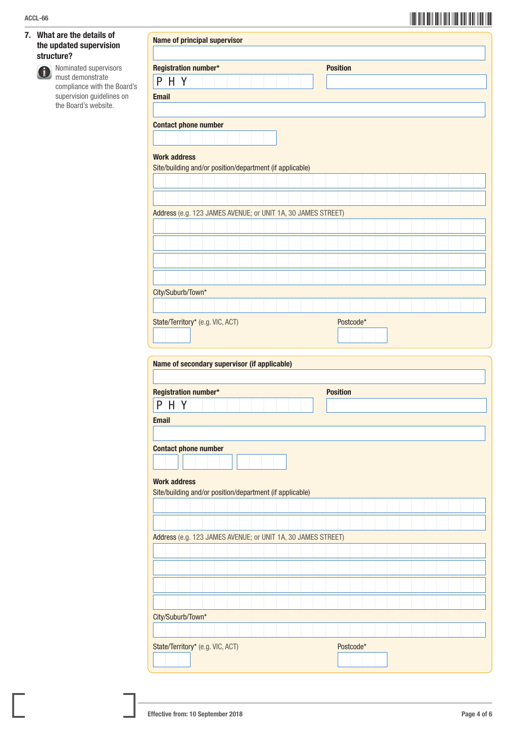#### 7. What are the details of the updated supervision structure?



 Nominated supervisors must demonstrate compliance with the Board's supervision guidelines on the Board's website.

Name of principal supervisor

| Registration number*                                                                                                                                                                                                                                                                                                            |  |  |  |  | <b>Position</b> |           |  |  |  |  |
|---------------------------------------------------------------------------------------------------------------------------------------------------------------------------------------------------------------------------------------------------------------------------------------------------------------------------------|--|--|--|--|-----------------|-----------|--|--|--|--|
| $P$ H Y                                                                                                                                                                                                                                                                                                                         |  |  |  |  |                 |           |  |  |  |  |
| <b>Email</b>                                                                                                                                                                                                                                                                                                                    |  |  |  |  |                 |           |  |  |  |  |
|                                                                                                                                                                                                                                                                                                                                 |  |  |  |  |                 |           |  |  |  |  |
| <b>Contact phone number</b>                                                                                                                                                                                                                                                                                                     |  |  |  |  |                 |           |  |  |  |  |
|                                                                                                                                                                                                                                                                                                                                 |  |  |  |  |                 |           |  |  |  |  |
|                                                                                                                                                                                                                                                                                                                                 |  |  |  |  |                 |           |  |  |  |  |
| <b>Work address</b>                                                                                                                                                                                                                                                                                                             |  |  |  |  |                 |           |  |  |  |  |
| Site/building and/or position/department (if applicable)                                                                                                                                                                                                                                                                        |  |  |  |  |                 |           |  |  |  |  |
|                                                                                                                                                                                                                                                                                                                                 |  |  |  |  |                 |           |  |  |  |  |
|                                                                                                                                                                                                                                                                                                                                 |  |  |  |  |                 |           |  |  |  |  |
|                                                                                                                                                                                                                                                                                                                                 |  |  |  |  |                 |           |  |  |  |  |
| Address (e.g. 123 JAMES AVENUE; or UNIT 1A, 30 JAMES STREET)                                                                                                                                                                                                                                                                    |  |  |  |  |                 |           |  |  |  |  |
|                                                                                                                                                                                                                                                                                                                                 |  |  |  |  |                 |           |  |  |  |  |
|                                                                                                                                                                                                                                                                                                                                 |  |  |  |  |                 |           |  |  |  |  |
|                                                                                                                                                                                                                                                                                                                                 |  |  |  |  |                 |           |  |  |  |  |
|                                                                                                                                                                                                                                                                                                                                 |  |  |  |  |                 |           |  |  |  |  |
|                                                                                                                                                                                                                                                                                                                                 |  |  |  |  |                 |           |  |  |  |  |
| City/Suburb/Town*                                                                                                                                                                                                                                                                                                               |  |  |  |  |                 |           |  |  |  |  |
|                                                                                                                                                                                                                                                                                                                                 |  |  |  |  |                 |           |  |  |  |  |
| State/Territory* (e.g. VIC, ACT)                                                                                                                                                                                                                                                                                                |  |  |  |  |                 | Postcode* |  |  |  |  |
|                                                                                                                                                                                                                                                                                                                                 |  |  |  |  |                 |           |  |  |  |  |
|                                                                                                                                                                                                                                                                                                                                 |  |  |  |  |                 |           |  |  |  |  |
|                                                                                                                                                                                                                                                                                                                                 |  |  |  |  |                 |           |  |  |  |  |
|                                                                                                                                                                                                                                                                                                                                 |  |  |  |  |                 |           |  |  |  |  |
|                                                                                                                                                                                                                                                                                                                                 |  |  |  |  |                 |           |  |  |  |  |
|                                                                                                                                                                                                                                                                                                                                 |  |  |  |  |                 |           |  |  |  |  |
|                                                                                                                                                                                                                                                                                                                                 |  |  |  |  | <b>Position</b> |           |  |  |  |  |
|                                                                                                                                                                                                                                                                                                                                 |  |  |  |  |                 |           |  |  |  |  |
| $P$ H Y                                                                                                                                                                                                                                                                                                                         |  |  |  |  |                 |           |  |  |  |  |
|                                                                                                                                                                                                                                                                                                                                 |  |  |  |  |                 |           |  |  |  |  |
|                                                                                                                                                                                                                                                                                                                                 |  |  |  |  |                 |           |  |  |  |  |
|                                                                                                                                                                                                                                                                                                                                 |  |  |  |  |                 |           |  |  |  |  |
|                                                                                                                                                                                                                                                                                                                                 |  |  |  |  |                 |           |  |  |  |  |
|                                                                                                                                                                                                                                                                                                                                 |  |  |  |  |                 |           |  |  |  |  |
|                                                                                                                                                                                                                                                                                                                                 |  |  |  |  |                 |           |  |  |  |  |
|                                                                                                                                                                                                                                                                                                                                 |  |  |  |  |                 |           |  |  |  |  |
|                                                                                                                                                                                                                                                                                                                                 |  |  |  |  |                 |           |  |  |  |  |
|                                                                                                                                                                                                                                                                                                                                 |  |  |  |  |                 |           |  |  |  |  |
|                                                                                                                                                                                                                                                                                                                                 |  |  |  |  |                 |           |  |  |  |  |
|                                                                                                                                                                                                                                                                                                                                 |  |  |  |  |                 |           |  |  |  |  |
|                                                                                                                                                                                                                                                                                                                                 |  |  |  |  |                 |           |  |  |  |  |
|                                                                                                                                                                                                                                                                                                                                 |  |  |  |  |                 |           |  |  |  |  |
|                                                                                                                                                                                                                                                                                                                                 |  |  |  |  |                 |           |  |  |  |  |
|                                                                                                                                                                                                                                                                                                                                 |  |  |  |  |                 |           |  |  |  |  |
|                                                                                                                                                                                                                                                                                                                                 |  |  |  |  |                 |           |  |  |  |  |
|                                                                                                                                                                                                                                                                                                                                 |  |  |  |  |                 |           |  |  |  |  |
|                                                                                                                                                                                                                                                                                                                                 |  |  |  |  |                 |           |  |  |  |  |
|                                                                                                                                                                                                                                                                                                                                 |  |  |  |  |                 |           |  |  |  |  |
| Name of secondary supervisor (if applicable)<br>Registration number*<br><b>Email</b><br><b>Contact phone number</b><br><b>Work address</b><br>Site/building and/or position/department (if applicable)<br>Address (e.g. 123 JAMES AVENUE; or UNIT 1A, 30 JAMES STREET)<br>City/Suburb/Town*<br>State/Territory* (e.g. VIC, ACT) |  |  |  |  |                 | Postcode* |  |  |  |  |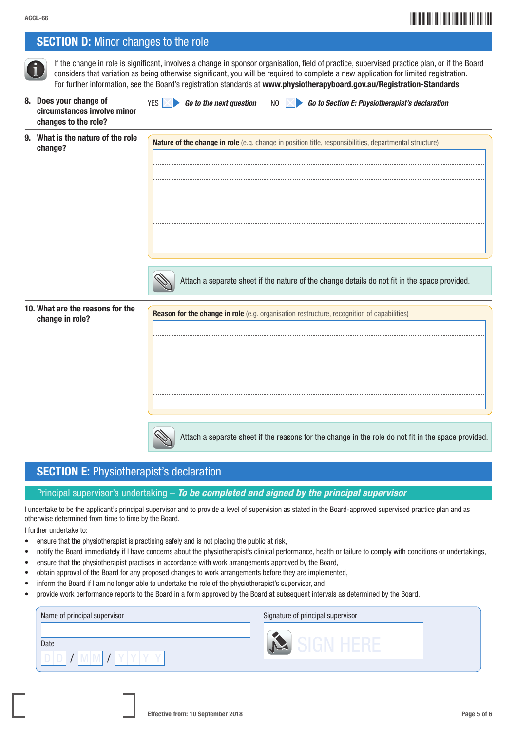**SECTION D:** Minor changes to the role

### ACCL-66**\*** ACCL-66**\*** ACCL-66**\*** ACCL-66**\*** ACCL-66**\*** ACCL-66\* ACCL-66\* ACCL-66\* ACCL-66\* ACCL-66\* ACCL-66\* ACCL-66\* ACCL-66\* ACCL-66\* ACCL-66\* ACCL-66\* ACCL-68\* ACCL-68\* ACCL-68\* ACCL-68\* ACCL-68\* ACCL-68\* ACCL-68\* ACCL-

|                                                                               | If the change in role is significant, involves a change in sponsor organisation, field of practice, supervised practice plan, or if the Board<br>considers that variation as being otherwise significant, you will be required to complete a new application for limited registration.<br>For further information, see the Board's registration standards at www.physiotherapyboard.gov.au/Registration-Standards |
|-------------------------------------------------------------------------------|-------------------------------------------------------------------------------------------------------------------------------------------------------------------------------------------------------------------------------------------------------------------------------------------------------------------------------------------------------------------------------------------------------------------|
| 8. Does your change of<br>circumstances involve minor<br>changes to the role? | Go to the next question<br>Go to Section E: Physiotherapist's declaration<br><b>YES</b><br>NO.                                                                                                                                                                                                                                                                                                                    |
| 9. What is the nature of the role<br>change?                                  | Nature of the change in role (e.g. change in position title, responsibilities, departmental structure)                                                                                                                                                                                                                                                                                                            |
|                                                                               | Attach a separate sheet if the nature of the change details do not fit in the space provided.                                                                                                                                                                                                                                                                                                                     |
| 10. What are the reasons for the<br>change in role?                           | <b>Reason for the change in role</b> (e.g. organisation restructure, recognition of capabilities)                                                                                                                                                                                                                                                                                                                 |
|                                                                               | Attach a separate sheet if the reasons for the change in the role do not fit in the space provided.                                                                                                                                                                                                                                                                                                               |

### SECTION E: Physiotherapist's declaration

#### Principal supervisor's undertaking – *To be completed and signed by the principal supervisor*

I undertake to be the applicant's principal supervisor and to provide a level of supervision as stated in the Board-approved supervised practice plan and as otherwise determined from time to time by the Board.

I further undertake to:

- ensure that the physiotherapist is practising safely and is not placing the public at risk,
- notify the Board immediately if I have concerns about the physiotherapist's clinical performance, health or failure to comply with conditions or undertakings,
- ensure that the physiotherapist practises in accordance with work arrangements approved by the Board,
- obtain approval of the Board for any proposed changes to work arrangements before they are implemented,
- inform the Board if I am no longer able to undertake the role of the physiotherapist's supervisor, and
- provide work performance reports to the Board in a form approved by the Board at subsequent intervals as determined by the Board.

| Name of principal supervisor | Signature of principal supervisor |
|------------------------------|-----------------------------------|
|                              |                                   |
| Date                         |                                   |
|                              |                                   |